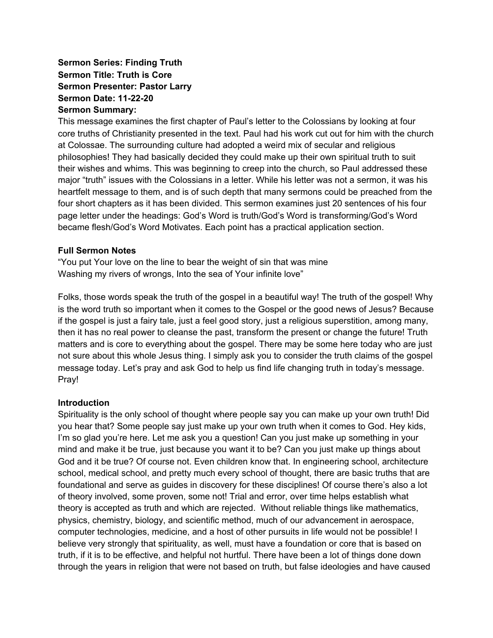#### **Sermon Series: Finding Truth Sermon Title: Truth is Core Sermon Presenter: Pastor Larry Sermon Date: 11-22-20 Sermon Summary:**

This message examines the first chapter of Paul's letter to the Colossians by looking at four core truths of Christianity presented in the text. Paul had his work cut out for him with the church at Colossae. The surrounding culture had adopted a weird mix of secular and religious philosophies! They had basically decided they could make up their own spiritual truth to suit their wishes and whims. This was beginning to creep into the church, so Paul addressed these major "truth" issues with the Colossians in a letter. While his letter was not a sermon, it was his heartfelt message to them, and is of such depth that many sermons could be preached from the four short chapters as it has been divided. This sermon examines just 20 sentences of his four page letter under the headings: God's Word is truth/God's Word is transforming/God's Word became flesh/God's Word Motivates. Each point has a practical application section.

#### **Full Sermon Notes**

"You put Your love on the line to bear the weight of sin that was mine Washing my rivers of wrongs, Into the sea of Your infinite love"

Folks, those words speak the truth of the gospel in a beautiful way! The truth of the gospel! Why is the word truth so important when it comes to the Gospel or the good news of Jesus? Because if the gospel is just a fairy tale, just a feel good story, just a religious superstition, among many, then it has no real power to cleanse the past, transform the present or change the future! Truth matters and is core to everything about the gospel. There may be some here today who are just not sure about this whole Jesus thing. I simply ask you to consider the truth claims of the gospel message today. Let's pray and ask God to help us find life changing truth in today's message. Pray!

#### **Introduction**

Spirituality is the only school of thought where people say you can make up your own truth! Did you hear that? Some people say just make up your own truth when it comes to God. Hey kids, I'm so glad you're here. Let me ask you a question! Can you just make up something in your mind and make it be true, just because you want it to be? Can you just make up things about God and it be true? Of course not. Even children know that. In engineering school, architecture school, medical school, and pretty much every school of thought, there are basic truths that are foundational and serve as guides in discovery for these disciplines! Of course there's also a lot of theory involved, some proven, some not! Trial and error, over time helps establish what theory is accepted as truth and which are rejected. Without reliable things like mathematics, physics, chemistry, biology, and scientific method, much of our advancement in aerospace, computer technologies, medicine, and a host of other pursuits in life would not be possible! I believe very strongly that spirituality, as well, must have a foundation or core that is based on truth, if it is to be effective, and helpful not hurtful. There have been a lot of things done down through the years in religion that were not based on truth, but false ideologies and have caused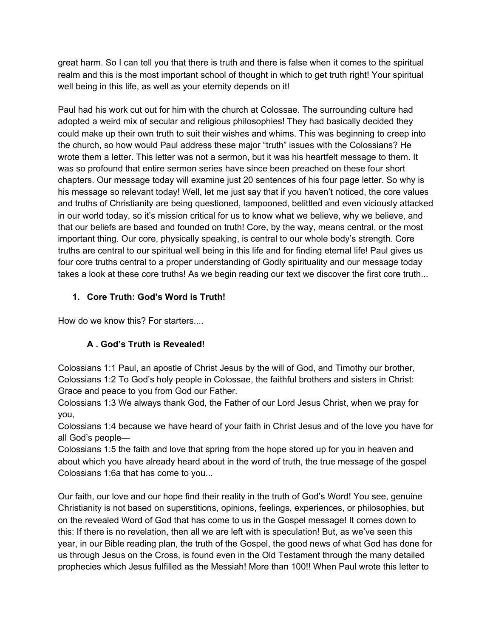great harm. So I can tell you that there is truth and there is false when it comes to the spiritual realm and this is the most important school of thought in which to get truth right! Your spiritual well being in this life, as well as your eternity depends on it!

Paul had his work cut out for him with the church at Colossae. The surrounding culture had adopted a weird mix of secular and religious philosophies! They had basically decided they could make up their own truth to suit their wishes and whims. This was beginning to creep into the church, so how would Paul address these major "truth" issues with the Colossians? He wrote them a letter. This letter was not a sermon, but it was his heartfelt message to them. It was so profound that entire sermon series have since been preached on these four short chapters. Our message today will examine just 20 sentences of his four page letter. So why is his message so relevant today! Well, let me just say that if you haven't noticed, the core values and truths of Christianity are being questioned, lampooned, belittled and even viciously attacked in our world today, so it's mission critical for us to know what we believe, why we believe, and that our beliefs are based and founded on truth! Core, by the way, means central, or the most important thing. Our core, physically speaking, is central to our whole body's strength. Core truths are central to our spiritual well being in this life and for finding eternal life! Paul gives us four core truths central to a proper understanding of Godly spirituality and our message today takes a look at these core truths! As we begin reading our text we discover the first core truth...

## **1. Core Truth: God's Word is Truth!**

How do we know this? For starters....

# **A . God's Truth is Revealed!**

Colossians 1:1 Paul, an apostle of Christ Jesus by the will of God, and Timothy our brother, Colossians 1:2 To God's holy people in Colossae, the faithful brothers and sisters in Christ: Grace and peace to you from God our Father.

Colossians 1:3 We always thank God, the Father of our Lord Jesus Christ, when we pray for you,

Colossians 1:4 because we have heard of your faith in Christ Jesus and of the love you have for all God's people—

Colossians 1:5 the faith and love that spring from the hope stored up for you in heaven and about which you have already heard about in the word of truth, the true message of the gospel Colossians 1:6a that has come to you...

Our faith, our love and our hope find their reality in the truth of God's Word! You see, genuine Christianity is not based on superstitions, opinions, feelings, experiences, or philosophies, but on the revealed Word of God that has come to us in the Gospel message! It comes down to this: If there is no revelation, then all we are left with is speculation! But, as we've seen this year, in our Bible reading plan, the truth of the Gospel, the good news of what God has done for us through Jesus on the Cross, is found even in the Old Testament through the many detailed prophecies which Jesus fulfilled as the Messiah! More than 100!! When Paul wrote this letter to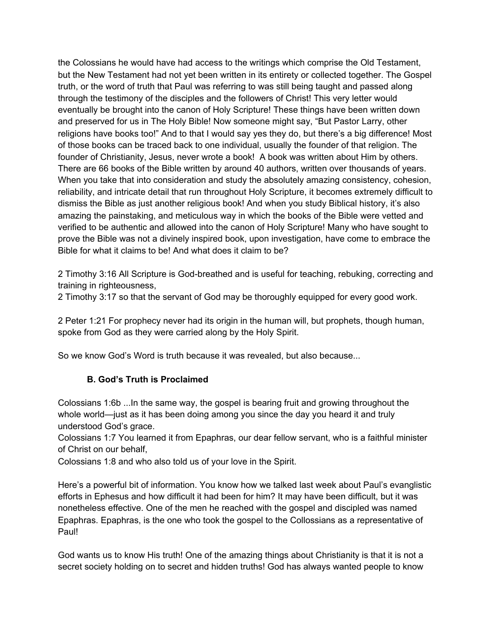the Colossians he would have had access to the writings which comprise the Old Testament, but the New Testament had not yet been written in its entirety or collected together. The Gospel truth, or the word of truth that Paul was referring to was still being taught and passed along through the testimony of the disciples and the followers of Christ! This very letter would eventually be brought into the canon of Holy Scripture! These things have been written down and preserved for us in The Holy Bible! Now someone might say, "But Pastor Larry, other religions have books too!" And to that I would say yes they do, but there's a big difference! Most of those books can be traced back to one individual, usually the founder of that religion. The founder of Christianity, Jesus, never wrote a book! A book was written about Him by others. There are 66 books of the Bible written by around 40 authors, written over thousands of years. When you take that into consideration and study the absolutely amazing consistency, cohesion, reliability, and intricate detail that run throughout Holy Scripture, it becomes extremely difficult to dismiss the Bible as just another religious book! And when you study Biblical history, it's also amazing the painstaking, and meticulous way in which the books of the Bible were vetted and verified to be authentic and allowed into the canon of Holy Scripture! Many who have sought to prove the Bible was not a divinely inspired book, upon investigation, have come to embrace the Bible for what it claims to be! And what does it claim to be?

2 Timothy 3:16 All Scripture is God-breathed and is useful for teaching, rebuking, correcting and training in righteousness,

2 Timothy 3:17 so that the servant of God may be thoroughly equipped for every good work.

2 Peter 1:21 For prophecy never had its origin in the human will, but prophets, though human, spoke from God as they were carried along by the Holy Spirit.

So we know God's Word is truth because it was revealed, but also because...

#### **B. God's Truth is Proclaimed**

Colossians 1:6b ...In the same way, the gospel is bearing fruit and growing throughout the whole world—just as it has been doing among you since the day you heard it and truly understood God's grace.

Colossians 1:7 You learned it from Epaphras, our dear fellow servant, who is a faithful minister of Christ on our behalf,

Colossians 1:8 and who also told us of your love in the Spirit.

Here's a powerful bit of information. You know how we talked last week about Paul's evanglistic efforts in Ephesus and how difficult it had been for him? It may have been difficult, but it was nonetheless effective. One of the men he reached with the gospel and discipled was named Epaphras. Epaphras, is the one who took the gospel to the Collossians as a representative of Paul!

God wants us to know His truth! One of the amazing things about Christianity is that it is not a secret society holding on to secret and hidden truths! God has always wanted people to know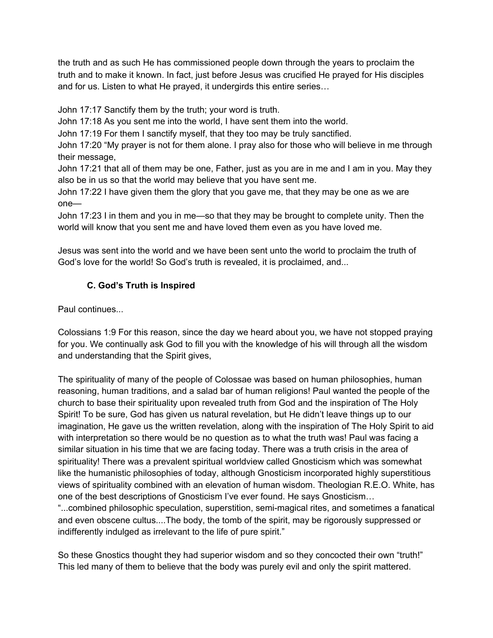the truth and as such He has commissioned people down through the years to proclaim the truth and to make it known. In fact, just before Jesus was crucified He prayed for His disciples and for us. Listen to what He prayed, it undergirds this entire series…

John 17:17 Sanctify them by the truth; your word is truth.

John 17:18 As you sent me into the world, I have sent them into the world.

John 17:19 For them I sanctify myself, that they too may be truly sanctified.

John 17:20 "My prayer is not for them alone. I pray also for those who will believe in me through their message,

John 17:21 that all of them may be one, Father, just as you are in me and I am in you. May they also be in us so that the world may believe that you have sent me.

John 17:22 I have given them the glory that you gave me, that they may be one as we are one—

John 17:23 I in them and you in me—so that they may be brought to complete unity. Then the world will know that you sent me and have loved them even as you have loved me.

Jesus was sent into the world and we have been sent unto the world to proclaim the truth of God's love for the world! So God's truth is revealed, it is proclaimed, and...

### **C. God's Truth is Inspired**

Paul continues...

Colossians 1:9 For this reason, since the day we heard about you, we have not stopped praying for you. We continually ask God to fill you with the knowledge of his will through all the wisdom and understanding that the Spirit gives,

The spirituality of many of the people of Colossae was based on human philosophies, human reasoning, human traditions, and a salad bar of human religions! Paul wanted the people of the church to base their spirituality upon revealed truth from God and the inspiration of The Holy Spirit! To be sure, God has given us natural revelation, but He didn't leave things up to our imagination, He gave us the written revelation, along with the inspiration of The Holy Spirit to aid with interpretation so there would be no question as to what the truth was! Paul was facing a similar situation in his time that we are facing today. There was a truth crisis in the area of spirituality! There was a prevalent spiritual worldview called Gnosticism which was somewhat like the humanistic philosophies of today, although Gnosticism incorporated highly superstitious views of spirituality combined with an elevation of human wisdom. Theologian R.E.O. White, has one of the best descriptions of Gnosticism I've ever found. He says Gnosticism…

"...combined philosophic speculation, superstition, semi-magical rites, and sometimes a fanatical and even obscene cultus....The body, the tomb of the spirit, may be rigorously suppressed or indifferently indulged as irrelevant to the life of pure spirit."

So these Gnostics thought they had superior wisdom and so they concocted their own "truth!" This led many of them to believe that the body was purely evil and only the spirit mattered.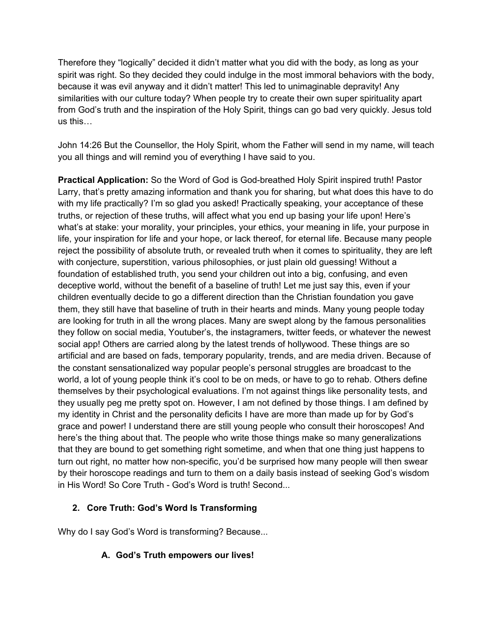Therefore they "logically" decided it didn't matter what you did with the body, as long as your spirit was right. So they decided they could indulge in the most immoral behaviors with the body, because it was evil anyway and it didn't matter! This led to unimaginable depravity! Any similarities with our culture today? When people try to create their own super spirituality apart from God's truth and the inspiration of the Holy Spirit, things can go bad very quickly. Jesus told us this…

John 14:26 But the Counsellor, the Holy Spirit, whom the Father will send in my name, will teach you all things and will remind you of everything I have said to you.

**Practical Application:** So the Word of God is God-breathed Holy Spirit inspired truth! Pastor Larry, that's pretty amazing information and thank you for sharing, but what does this have to do with my life practically? I'm so glad you asked! Practically speaking, your acceptance of these truths, or rejection of these truths, will affect what you end up basing your life upon! Here's what's at stake: your morality, your principles, your ethics, your meaning in life, your purpose in life, your inspiration for life and your hope, or lack thereof, for eternal life. Because many people reject the possibility of absolute truth, or revealed truth when it comes to spirituality, they are left with conjecture, superstition, various philosophies, or just plain old guessing! Without a foundation of established truth, you send your children out into a big, confusing, and even deceptive world, without the benefit of a baseline of truth! Let me just say this, even if your children eventually decide to go a different direction than the Christian foundation you gave them, they still have that baseline of truth in their hearts and minds. Many young people today are looking for truth in all the wrong places. Many are swept along by the famous personalities they follow on social media, Youtuber's, the instagramers, twitter feeds, or whatever the newest social app! Others are carried along by the latest trends of hollywood. These things are so artificial and are based on fads, temporary popularity, trends, and are media driven. Because of the constant sensationalized way popular people's personal struggles are broadcast to the world, a lot of young people think it's cool to be on meds, or have to go to rehab. Others define themselves by their psychological evaluations. I'm not against things like personality tests, and they usually peg me pretty spot on. However, I am not defined by those things. I am defined by my identity in Christ and the personality deficits I have are more than made up for by God's grace and power! I understand there are still young people who consult their horoscopes! And here's the thing about that. The people who write those things make so many generalizations that they are bound to get something right sometime, and when that one thing just happens to turn out right, no matter how non-specific, you'd be surprised how many people will then swear by their horoscope readings and turn to them on a daily basis instead of seeking God's wisdom in His Word! So Core Truth - God's Word is truth! Second...

### **2. Core Truth: God's Word Is Transforming**

Why do I say God's Word is transforming? Because...

### **A. God's Truth empowers our lives!**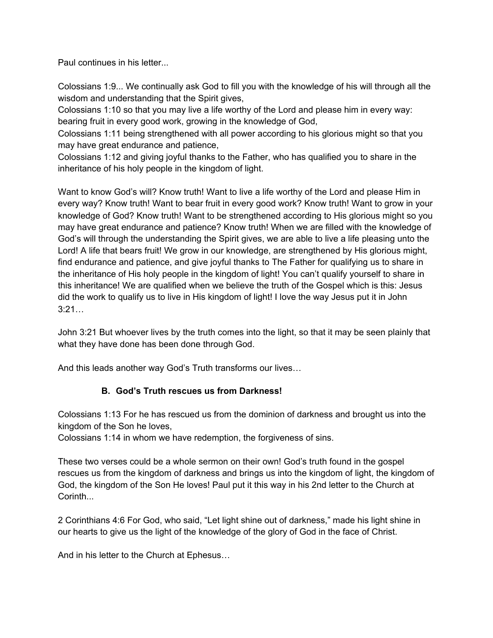Paul continues in his letter...

Colossians 1:9... We continually ask God to fill you with the knowledge of his will through all the wisdom and understanding that the Spirit gives,

Colossians 1:10 so that you may live a life worthy of the Lord and please him in every way: bearing fruit in every good work, growing in the knowledge of God,

Colossians 1:11 being strengthened with all power according to his glorious might so that you may have great endurance and patience,

Colossians 1:12 and giving joyful thanks to the Father, who has qualified you to share in the inheritance of his holy people in the kingdom of light.

Want to know God's will? Know truth! Want to live a life worthy of the Lord and please Him in every way? Know truth! Want to bear fruit in every good work? Know truth! Want to grow in your knowledge of God? Know truth! Want to be strengthened according to His glorious might so you may have great endurance and patience? Know truth! When we are filled with the knowledge of God's will through the understanding the Spirit gives, we are able to live a life pleasing unto the Lord! A life that bears fruit! We grow in our knowledge, are strengthened by His glorious might, find endurance and patience, and give joyful thanks to The Father for qualifying us to share in the inheritance of His holy people in the kingdom of light! You can't qualify yourself to share in this inheritance! We are qualified when we believe the truth of the Gospel which is this: Jesus did the work to qualify us to live in His kingdom of light! I love the way Jesus put it in John 3:21…

John 3:21 But whoever lives by the truth comes into the light, so that it may be seen plainly that what they have done has been done through God.

And this leads another way God's Truth transforms our lives…

### **B. God's Truth rescues us from Darkness!**

Colossians 1:13 For he has rescued us from the dominion of darkness and brought us into the kingdom of the Son he loves,

Colossians 1:14 in whom we have redemption, the forgiveness of sins.

These two verses could be a whole sermon on their own! God's truth found in the gospel rescues us from the kingdom of darkness and brings us into the kingdom of light, the kingdom of God, the kingdom of the Son He loves! Paul put it this way in his 2nd letter to the Church at Corinth...

2 Corinthians 4:6 For God, who said, "Let light shine out of darkness," made his light shine in our hearts to give us the light of the knowledge of the glory of God in the face of Christ.

And in his letter to the Church at Ephesus…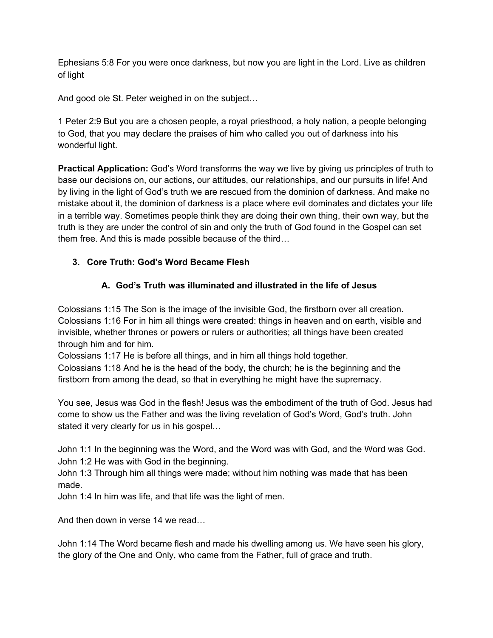Ephesians 5:8 For you were once darkness, but now you are light in the Lord. Live as children of light

And good ole St. Peter weighed in on the subject…

1 Peter 2:9 But you are a chosen people, a royal priesthood, a holy nation, a people belonging to God, that you may declare the praises of him who called you out of darkness into his wonderful light.

**Practical Application:** God's Word transforms the way we live by giving us principles of truth to base our decisions on, our actions, our attitudes, our relationships, and our pursuits in life! And by living in the light of God's truth we are rescued from the dominion of darkness. And make no mistake about it, the dominion of darkness is a place where evil dominates and dictates your life in a terrible way. Sometimes people think they are doing their own thing, their own way, but the truth is they are under the control of sin and only the truth of God found in the Gospel can set them free. And this is made possible because of the third…

### **3. Core Truth: God's Word Became Flesh**

### **A. God's Truth was illuminated and illustrated in the life of Jesus**

Colossians 1:15 The Son is the image of the invisible God, the firstborn over all creation. Colossians 1:16 For in him all things were created: things in heaven and on earth, visible and invisible, whether thrones or powers or rulers or authorities; all things have been created through him and for him.

Colossians 1:17 He is before all things, and in him all things hold together.

Colossians 1:18 And he is the head of the body, the church; he is the beginning and the firstborn from among the dead, so that in everything he might have the supremacy.

You see, Jesus was God in the flesh! Jesus was the embodiment of the truth of God. Jesus had come to show us the Father and was the living revelation of God's Word, God's truth. John stated it very clearly for us in his gospel…

John 1:1 In the beginning was the Word, and the Word was with God, and the Word was God. John 1:2 He was with God in the beginning.

John 1:3 Through him all things were made; without him nothing was made that has been made.

John 1:4 In him was life, and that life was the light of men.

And then down in verse 14 we read…

John 1:14 The Word became flesh and made his dwelling among us. We have seen his glory, the glory of the One and Only, who came from the Father, full of grace and truth.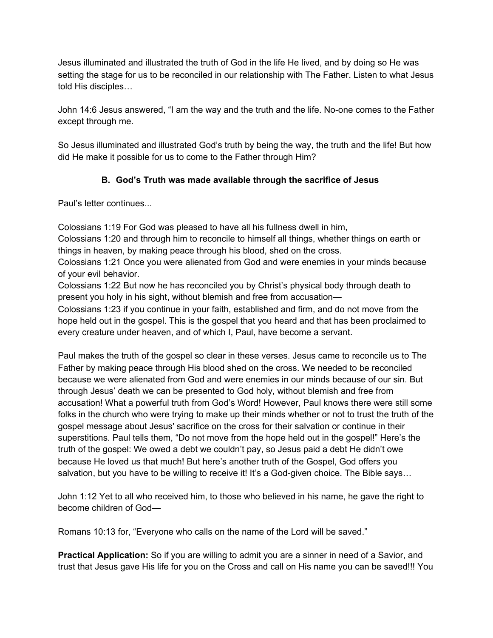Jesus illuminated and illustrated the truth of God in the life He lived, and by doing so He was setting the stage for us to be reconciled in our relationship with The Father. Listen to what Jesus told His disciples…

John 14:6 Jesus answered, "I am the way and the truth and the life. No-one comes to the Father except through me.

So Jesus illuminated and illustrated God's truth by being the way, the truth and the life! But how did He make it possible for us to come to the Father through Him?

### **B. God's Truth was made available through the sacrifice of Jesus**

Paul's letter continues...

Colossians 1:19 For God was pleased to have all his fullness dwell in him, Colossians 1:20 and through him to reconcile to himself all things, whether things on earth or things in heaven, by making peace through his blood, shed on the cross. Colossians 1:21 Once you were alienated from God and were enemies in your minds because

of your evil behavior.

Colossians 1:22 But now he has reconciled you by Christ's physical body through death to present you holy in his sight, without blemish and free from accusation—

Colossians 1:23 if you continue in your faith, established and firm, and do not move from the hope held out in the gospel. This is the gospel that you heard and that has been proclaimed to every creature under heaven, and of which I, Paul, have become a servant.

Paul makes the truth of the gospel so clear in these verses. Jesus came to reconcile us to The Father by making peace through His blood shed on the cross. We needed to be reconciled because we were alienated from God and were enemies in our minds because of our sin. But through Jesus' death we can be presented to God holy, without blemish and free from accusation! What a powerful truth from God's Word! However, Paul knows there were still some folks in the church who were trying to make up their minds whether or not to trust the truth of the gospel message about Jesus' sacrifice on the cross for their salvation or continue in their superstitions. Paul tells them, "Do not move from the hope held out in the gospel!" Here's the truth of the gospel: We owed a debt we couldn't pay, so Jesus paid a debt He didn't owe because He loved us that much! But here's another truth of the Gospel, God offers you salvation, but you have to be willing to receive it! It's a God-given choice. The Bible says…

John 1:12 Yet to all who received him, to those who believed in his name, he gave the right to become children of God—

Romans 10:13 for, "Everyone who calls on the name of the Lord will be saved."

**Practical Application:** So if you are willing to admit you are a sinner in need of a Savior, and trust that Jesus gave His life for you on the Cross and call on His name you can be saved!!! You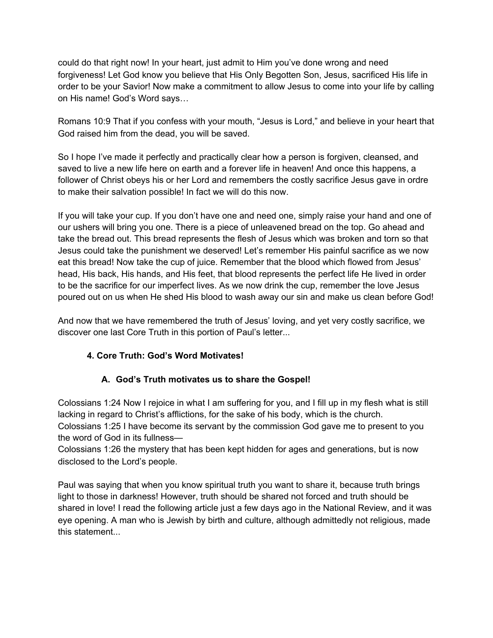could do that right now! In your heart, just admit to Him you've done wrong and need forgiveness! Let God know you believe that His Only Begotten Son, Jesus, sacrificed His life in order to be your Savior! Now make a commitment to allow Jesus to come into your life by calling on His name! God's Word says…

Romans 10:9 That if you confess with your mouth, "Jesus is Lord," and believe in your heart that God raised him from the dead, you will be saved.

So I hope I've made it perfectly and practically clear how a person is forgiven, cleansed, and saved to live a new life here on earth and a forever life in heaven! And once this happens, a follower of Christ obeys his or her Lord and remembers the costly sacrifice Jesus gave in ordre to make their salvation possible! In fact we will do this now.

If you will take your cup. If you don't have one and need one, simply raise your hand and one of our ushers will bring you one. There is a piece of unleavened bread on the top. Go ahead and take the bread out. This bread represents the flesh of Jesus which was broken and torn so that Jesus could take the punishment we deserved! Let's remember His painful sacrifice as we now eat this bread! Now take the cup of juice. Remember that the blood which flowed from Jesus' head, His back, His hands, and His feet, that blood represents the perfect life He lived in order to be the sacrifice for our imperfect lives. As we now drink the cup, remember the love Jesus poured out on us when He shed His blood to wash away our sin and make us clean before God!

And now that we have remembered the truth of Jesus' loving, and yet very costly sacrifice, we discover one last Core Truth in this portion of Paul's letter...

### **4. Core Truth: God's Word Motivates!**

### **A. God's Truth motivates us to share the Gospel!**

Colossians 1:24 Now I rejoice in what I am suffering for you, and I fill up in my flesh what is still lacking in regard to Christ's afflictions, for the sake of his body, which is the church. Colossians 1:25 I have become its servant by the commission God gave me to present to you the word of God in its fullness—

Colossians 1:26 the mystery that has been kept hidden for ages and generations, but is now disclosed to the Lord's people.

Paul was saying that when you know spiritual truth you want to share it, because truth brings light to those in darkness! However, truth should be shared not forced and truth should be shared in love! I read the following article just a few days ago in the National Review, and it was eye opening. A man who is Jewish by birth and culture, although admittedly not religious, made this statement...